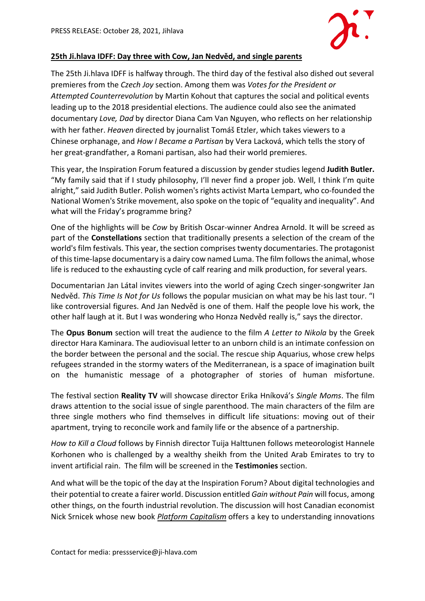

## **25th Ji.hlava IDFF: Day three with Cow, Jan Nedvěd, and single parents**

The 25th Ji.hlava IDFF is halfway through. The third day of the festival also dished out several premieres from the *Czech Joy* section. Among them was *Votes for the President or Attempted Counterrevolution* by Martin Kohout that captures the social and political events leading up to the 2018 presidential elections. The audience could also see the animated documentary *Love, Dad* by director Diana Cam Van Nguyen, who reflects on her relationship with her father. *Heaven* directed by journalist Tomáš Etzler, which takes viewers to a Chinese orphanage, and *How I Became a Partisan* by Vera Lacková, which tells the story of her great-grandfather, a Romani partisan, also had their world premieres.

This year, the Inspiration Forum featured a discussion by gender studies legend **Judith Butler.** "My family said that if I study philosophy, I'll never find a proper job. Well, I think I'm quite alright," said Judith Butler. Polish women's rights activist Marta Lempart, who co-founded the National Women's Strike movement, also spoke on the topic of "equality and inequality". And what will the Friday's programme bring?

One of the highlights will be *Cow* by British Oscar-winner Andrea Arnold. It will be screed as part of the **Constellations** section that traditionally presents a selection of the cream of the world's film festivals. This year, the section comprises twenty documentaries. The protagonist of this time-lapse documentary is a dairy cow named Luma. The film follows the animal, whose life is reduced to the exhausting cycle of calf rearing and milk production, for several years.

Documentarian Jan Látal invites viewers into the world of aging Czech singer-songwriter Jan Nedvěd. *This Time Is Not for Us* follows the popular musician on what may be his last tour. "I like controversial figures. And Jan Nedvěd is one of them. Half the people love his work, the other half laugh at it. But I was wondering who Honza Nedvěd really is," says the director.

The **Opus Bonum** section will treat the audience to the film *A Letter to Nikola* by the Greek director Hara Kaminara. The audiovisual letter to an unborn child is an intimate confession on the border between the personal and the social. The rescue ship Aquarius, whose crew helps refugees stranded in the stormy waters of the Mediterranean, is a space of imagination built on the humanistic message of a photographer of stories of human misfortune.

The festival section **Reality TV** will showcase director Erika Hníková's *Single Moms*. The film draws attention to the social issue of single parenthood. The main characters of the film are three single mothers who find themselves in difficult life situations: moving out of their apartment, trying to reconcile work and family life or the absence of a partnership.

*How to Kill a Cloud* follows by Finnish director Tuija Halttunen follows meteorologist Hannele Korhonen who is challenged by a wealthy sheikh from the United Arab Emirates to try to invent artificial rain. The film will be screened in the **Testimonies** section.

And what will be the topic of the day at the Inspiration Forum? About digital technologies and their potential to create a fairer world. Discussion entitled *Gain without Pain* will focus, among other things, on the fourth industrial revolution. The discussion will host Canadian economist Nick Srnicek whose new book *Platform Capitalism* offers a key to understanding innovations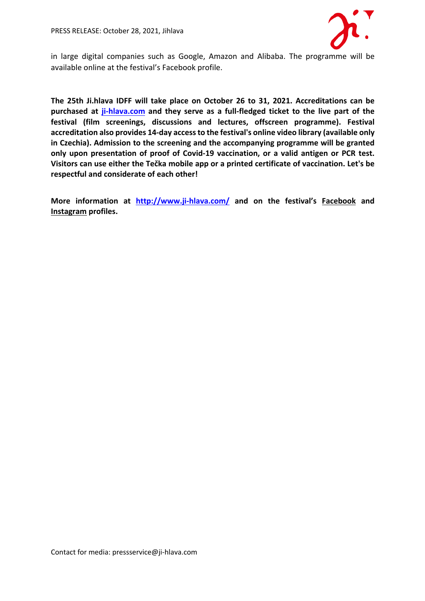

in large digital companies such as Google, Amazon and Alibaba. The programme will be available online at the festival's Facebook profile.

**The 25th Ji.hlava IDFF will take place on October 26 to 31, 2021. Accreditations can be purchased at ji-hlava.com and they serve as a full-fledged ticket to the live part of the festival (film screenings, discussions and lectures, offscreen programme). Festival accreditation also provides 14-day access to the festival's online video library (available only in Czechia). Admission to the screening and the accompanying programme will be granted only upon presentation of proof of Covid-19 vaccination, or a valid antigen or PCR test. Visitors can use either the Tečka mobile app or a printed certificate of vaccination. Let's be respectful and considerate of each other!**

**More information at http://www.ji-hlava.com/ and on the festival's Facebook and Instagram profiles.**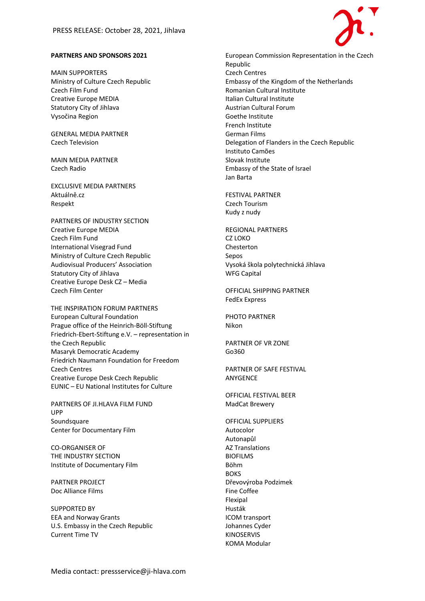

## **PARTNERS AND SPONSORS 2021**

MAIN SUPPORTERS Ministry of Culture Czech Republic Czech Film Fund Creative Europe MEDIA Statutory City of Jihlava Vysočina Region

GENERAL MEDIA PARTNER Czech Television

MAIN MEDIA PARTNER Czech Radio

EXCLUSIVE MEDIA PARTNERS Aktuálně.cz Respekt

PARTNERS OF INDUSTRY SECTION Creative Europe MEDIA Czech Film Fund International Visegrad Fund Ministry of Culture Czech Republic Audiovisual Producers' Association Statutory City of Jihlava Creative Europe Desk CZ – Media Czech Film Center

THE INSPIRATION FORUM PARTNERS European Cultural Foundation Prague office of the Heinrich-Böll-Stiftung Friedrich-Ebert-Stiftung e.V. – representation in the Czech Republic Masaryk Democratic Academy Friedrich Naumann Foundation for Freedom Czech Centres Creative Europe Desk Czech Republic EUNIC – EU National Institutes for Culture

PARTNERS OF JI.HLAVA FILM FUND UPP Soundsquare Center for Documentary Film

CO-ORGANISER OF THE INDUSTRY SECTION Institute of Documentary Film

PARTNER PROJECT Doc Alliance Films

SUPPORTED BY EEA and Norway Grants U.S. Embassy in the Czech Republic Current Time TV

European Commission Representation in the Czech Republic Czech Centres Embassy of the Kingdom of the Netherlands Romanian Cultural Institute Italian Cultural Institute Austrian Cultural Forum Goethe Institute French Institute German Films Delegation of Flanders in the Czech Republic Instituto Camões Slovak Institute Embassy of the State of Israel Jan Barta

FESTIVAL PARTNER Czech Tourism Kudy z nudy

REGIONAL PARTNERS CZ LOKO Chesterton Sepos Vysoká škola polytechnická Jihlava WFG Capital

OFFICIAL SHIPPING PARTNER FedEx Express

PHOTO PARTNER Nikon

PARTNER OF VR ZONE Go360

PARTNER OF SAFE FESTIVAL ANYGENCE

OFFICIAL FESTIVAL BEER MadCat Brewery

OFFICIAL SUPPLIERS Autocolor Autonapůl AZ Translations BIOFILMS Böhm **BOKS** Dřevovýroba Podzimek Fine Coffee Flexipal Husták ICOM transport Johannes Cyder KINOSERVIS KOMA Modular